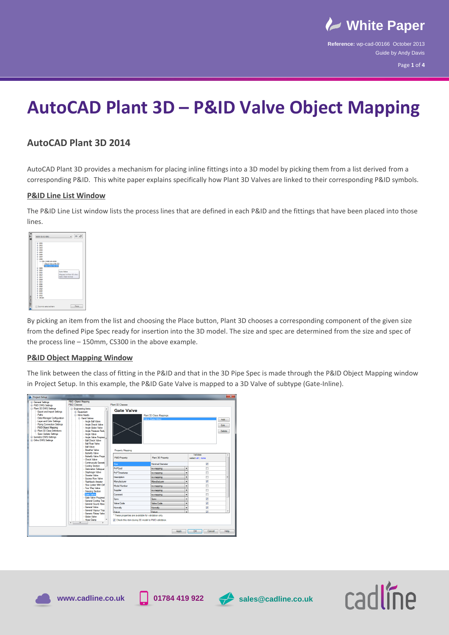

Page **1** of **4**

# **AutoCAD Plant 3D – P&ID Valve Object Mapping**

## **AutoCAD Plant 3D 2014**

AutoCAD Plant 3D provides a mechanism for placing inline fittings into a 3D model by picking them from a list derived from a corresponding P&ID. This white paper explains specifically how Plant 3D Valves are linked to their corresponding P&ID symbols.

### **P&ID Line List Window**

The P&ID Line List window lists the process lines that are defined in each P&ID and the fittings that have been placed into those lines.



By picking an item from the list and choosing the Place button, Plant 3D chooses a corresponding component of the given size from the defined Pipe Spec ready for insertion into the 3D model. The size and spec are determined from the size and spec of the process line – 150mm, CS300 in the above example.

#### **P&ID Object Mapping Window**

The link between the class of fitting in the P&ID and that in the 3D Pipe Spec is made through the P&ID Object Mapping window in Project Setup. In this example, the P&ID Gate Valve is mapped to a 3D Valve of subtype (Gate-Inline).









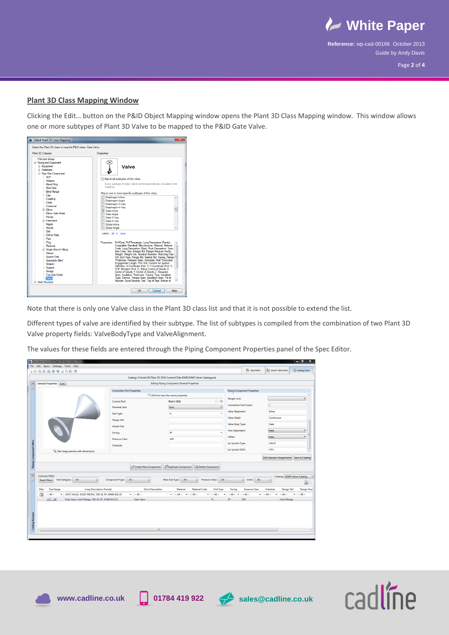

Page **2** of **4**

#### **Plant 3D Class Mapping Window**

Clicking the Edit… button on the P&ID Object Mapping window opens the Plant 3D Class Mapping window. This window allows one or more subtypes of Plant 3D Valve to be mapped to the P&ID Gate Valve.

| Plant 3D Classes                                                                                                                                                                                                                                        | Properties                                                                                                                                                                                                                                                                                                                                                                                                                                                                                                                                               |
|---------------------------------------------------------------------------------------------------------------------------------------------------------------------------------------------------------------------------------------------------------|----------------------------------------------------------------------------------------------------------------------------------------------------------------------------------------------------------------------------------------------------------------------------------------------------------------------------------------------------------------------------------------------------------------------------------------------------------------------------------------------------------------------------------------------------------|
| - P3d Line Group<br><b>E</b> -Piping and Equipment<br><b>Equipment</b><br><b>G.</b> Fasteners<br><b>E</b> -Pipe Run Component                                                                                                                           | <b>Valve</b>                                                                                                                                                                                                                                                                                                                                                                                                                                                                                                                                             |
| - ACP<br>Adapter<br><b>Bleed Ring</b><br><b>Blind Disk</b><br><b>Blind Flange</b>                                                                                                                                                                       | Map to all subtypes of this class<br>Every subtype of class Valve will be automaticaly included in the<br>mapping.<br>Map to one or more specific subtypes of this class:                                                                                                                                                                                                                                                                                                                                                                                |
| Cap<br>Coupling<br>Cross<br>Crossover<br><b>B</b> -Flhow<br>- Flhow Side Outlet<br>- Flange<br>(a) - Instrument<br>- Nipple<br>- Nozzie<br>Olet<br>Office Plate<br>Pipe<br>Plug<br>Reducer<br><b>B</b> Single Branch Fitting<br>- Sleeve<br>Spacer Disk | Diaphragm-Inline<br>Diaphragm-Angle<br>Diaphragm-3-Way<br>Diaphragm-4-Way<br>리<br>Gate-Inline<br>Gate-Angle<br>Gate-3-Way<br>Gate-4-Way<br>Globe-Inline<br>Globe-Angle<br>select all I none<br>Properties: PnPGuid, PnPTimestamp, Long Description (Family),<br>Compatible Standard, Manufacturer, Material, Material<br>Code, Long Description (Size), Short Description, Spec.<br>Item Code, Size, Design Std. Design Pressure Factor,<br>Weight, Weight Unit, Nominal Diameter, Matching Pipe<br>OD, End Type, Flange Std, Gasket Std, Facing, Flange |
| Spectacle Bind<br>Strainer<br>Support<br>Swage<br>Tee Side Outlet<br>Valve<br><b>F</b> Steel Structure                                                                                                                                                  | Thickness, Pressure Class, Schedule, Wall Thickness,<br>Engagement Length, Port Unit, Content Iso Symbol<br>Definition, X Coordinate (Port 1), Y Coordinate (Port 1),<br>COP Elevation (Port 1). Status. Center of Gravity X.<br>Center of Gravity Y. Center of Gravity Z. Required<br>Spec, Insulation Thickness, Tracing Type, Insulation<br>Type, Service, Tracing Spec, Insulation Spec, Tie In<br>Number, Spool Number, Unit, Top of Pipe, Bottom of                                                                                                |

Note that there is only one Valve class in the Plant 3D class list and that it is not possible to extend the list.

Different types of valve are identified by their subtype. The list of subtypes is compiled from the combination of two Plant 3D Valve property fields: ValveBodyType and ValveAlignment.

The values for these fields are entered through the Piping Component Properties panel of the Spec Editor.

| General Properties Sizes                            | <b>Connection Port Properties</b><br><b>Current Port:</b><br><b>Nominal Unit:</b><br><b>End Type:</b><br>Flange Std: | Catalog: H:\AutoCAD Plant 3D 2014 Content\CPak ASME\ASME Valves Catalog.pcat                                                             | <b>Editing Piping Component General Properties</b><br>All Ports have the same properties<br>Port 1 (S1)<br>Inch<br>FL. | $\Leftrightarrow$<br>$\bullet$                                                                   | <b>Weight Unit:</b><br><b>Connection Port Count:</b>                                                     | <b>Piping Component Properties</b>                               | $\overline{2}$                                                                                                        |                         |                                                                                                                          |
|-----------------------------------------------------|----------------------------------------------------------------------------------------------------------------------|------------------------------------------------------------------------------------------------------------------------------------------|------------------------------------------------------------------------------------------------------------------------|--------------------------------------------------------------------------------------------------|----------------------------------------------------------------------------------------------------------|------------------------------------------------------------------|-----------------------------------------------------------------------------------------------------------------------|-------------------------|--------------------------------------------------------------------------------------------------------------------------|
|                                                     |                                                                                                                      |                                                                                                                                          |                                                                                                                        |                                                                                                  |                                                                                                          |                                                                  |                                                                                                                       |                         |                                                                                                                          |
|                                                     |                                                                                                                      |                                                                                                                                          |                                                                                                                        |                                                                                                  |                                                                                                          |                                                                  |                                                                                                                       |                         |                                                                                                                          |
|                                                     |                                                                                                                      |                                                                                                                                          |                                                                                                                        |                                                                                                  |                                                                                                          |                                                                  |                                                                                                                       |                         |                                                                                                                          |
|                                                     |                                                                                                                      |                                                                                                                                          |                                                                                                                        |                                                                                                  |                                                                                                          |                                                                  |                                                                                                                       |                         |                                                                                                                          |
|                                                     |                                                                                                                      |                                                                                                                                          |                                                                                                                        |                                                                                                  |                                                                                                          |                                                                  |                                                                                                                       |                         |                                                                                                                          |
|                                                     |                                                                                                                      |                                                                                                                                          |                                                                                                                        |                                                                                                  | <b>Valve Alignment:</b>                                                                                  |                                                                  | Inline                                                                                                                |                         |                                                                                                                          |
|                                                     |                                                                                                                      |                                                                                                                                          |                                                                                                                        |                                                                                                  | Valve Detail:                                                                                            |                                                                  | Continuous                                                                                                            |                         |                                                                                                                          |
|                                                     |                                                                                                                      |                                                                                                                                          |                                                                                                                        |                                                                                                  |                                                                                                          |                                                                  | Gate                                                                                                                  |                         |                                                                                                                          |
|                                                     | <b>Gasket Std:</b>                                                                                                   |                                                                                                                                          |                                                                                                                        |                                                                                                  | Valve Body Type:                                                                                         |                                                                  |                                                                                                                       |                         |                                                                                                                          |
|                                                     | Facing:                                                                                                              |                                                                                                                                          | RF                                                                                                                     |                                                                                                  | <b>Flow Dependent:</b>                                                                                   |                                                                  | False                                                                                                                 |                         |                                                                                                                          |
|                                                     | <b>Pressure Class:</b>                                                                                               |                                                                                                                                          | 300                                                                                                                    |                                                                                                  | Offset:                                                                                                  |                                                                  | False                                                                                                                 |                         |                                                                                                                          |
|                                                     | Schedule:                                                                                                            |                                                                                                                                          |                                                                                                                        |                                                                                                  |                                                                                                          |                                                                  | <b>VALVE</b>                                                                                                          |                         |                                                                                                                          |
|                                                     |                                                                                                                      |                                                                                                                                          |                                                                                                                        |                                                                                                  |                                                                                                          |                                                                  | <b>VTFL</b>                                                                                                           |                         |                                                                                                                          |
|                                                     |                                                                                                                      |                                                                                                                                          |                                                                                                                        |                                                                                                  |                                                                                                          |                                                                  |                                                                                                                       |                         |                                                                                                                          |
|                                                     |                                                                                                                      |                                                                                                                                          |                                                                                                                        |                                                                                                  |                                                                                                          |                                                                  |                                                                                                                       |                         |                                                                                                                          |
|                                                     |                                                                                                                      |                                                                                                                                          |                                                                                                                        |                                                                                                  |                                                                                                          |                                                                  |                                                                                                                       |                         |                                                                                                                          |
| <b>Common Filters</b>                               |                                                                                                                      |                                                                                                                                          |                                                                                                                        |                                                                                                  |                                                                                                          |                                                                  |                                                                                                                       |                         |                                                                                                                          |
| Part Category: ~ All ~<br><b>Reset Filters</b><br>۰ |                                                                                                                      |                                                                                                                                          |                                                                                                                        |                                                                                                  |                                                                                                          | ۰                                                                |                                                                                                                       |                         | $\sqrt{a}$                                                                                                               |
|                                                     |                                                                                                                      |                                                                                                                                          |                                                                                                                        |                                                                                                  |                                                                                                          |                                                                  |                                                                                                                       |                         |                                                                                                                          |
|                                                     |                                                                                                                      |                                                                                                                                          |                                                                                                                        |                                                                                                  |                                                                                                          |                                                                  |                                                                                                                       |                         | <b>Design Pres</b><br>$\sim$ All $\sim$                                                                                  |
| $1/2 - 36$                                          |                                                                                                                      | Gate Valve                                                                                                                               |                                                                                                                        | FL.                                                                                              | <b>RF</b>                                                                                                |                                                                  |                                                                                                                       |                         |                                                                                                                          |
|                                                     |                                                                                                                      |                                                                                                                                          |                                                                                                                        |                                                                                                  |                                                                                                          |                                                                  |                                                                                                                       | Solid Wedge             |                                                                                                                          |
| Filter                                              | Q. View large preview with dimensions<br><b>Size Range</b><br>$-$ All $-$<br>۰.                                      | <b>Long Description (Family)</b><br>GATE VALVE, SOLID WEDGE, 300 LB, RF, ASME B16.10<br>Gate Valve, Solid Wedge, 300 LB, RF, ASME B16.10 | Create New Component<br>Component Type: ~ All ~<br><b>Short Description</b><br>$\bullet$ $\sim$ All $\sim$             | <b>B</b> Duplicate Component<br>Main End Type: - All ~<br>Material<br>$\bullet$ -All - $\bullet$ | <b>22 Delete Component</b><br><b>Material Code</b><br><b>End Type</b><br>$\sim$ All $\sim$<br>$\sim$ All | Pressure Class: ~ All ~<br>Facing<br>$\sim$ All $\sim$<br>۰<br>٠ | Iso Symbol Type:<br>Iso Symbol SKEY:<br>Units: $\sim$ All $\sim$<br><b>Pressure Class</b><br>$\sim$ All $\sim$<br>300 | Schedule<br>$-$ All $-$ | Edit Operator Assignments Save to Catalog<br>Catalog: ASME Valves Catalog<br><b>Design Std</b><br>$\sim$ All $\sim$<br>۰ |





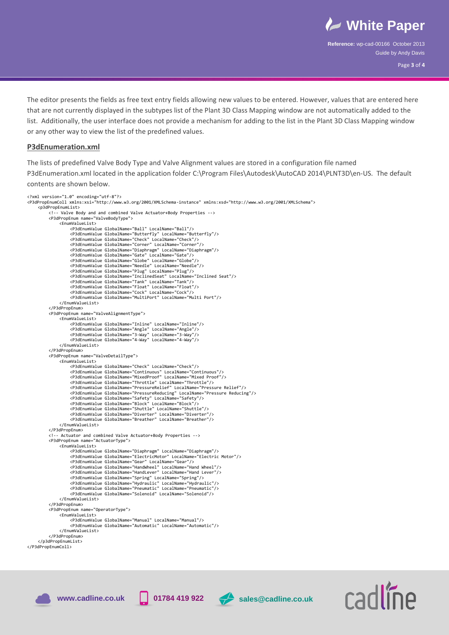

radline

Page **3** of **4**

 The editor presents the fields as free text entry fields allowing new values to be entered. However, values that are entered here that are not currently displayed in the subtypes list of the Plant 3D Class Mapping window are not automatically added to the list. Additionally, the user interface does not provide a mechanism for adding to the list in the Plant 3D Class Mapping window or any other way to view the list of the predefined values.

#### **P3dEnumeration.xml**

The lists of predefined Valve Body Type and Valve Alignment values are stored in a configuration file named P3dEnumeration.xml located in the application folder C:\Program Files\Autodesk\AutoCAD 2014\PLNT3D\en-US. The default contents are shown below.

```
<?xml version="1.0" encoding="utf-8"?>
<P3dPropEnumColl xmlns:xsi="http://www.w3.org/2001/XMLSchema-instance" xmlns:xsd="http://www.w3.org/2001/XMLSchema">
       <p3dPropEnumList>
              <!-- Valve Body and and combined Valve Actuator+Body Properties -->
              <P3dPropEnum name="ValveBodyType">
                     <EnumValueList>
                             <P3dEnumValue GlobalName="Ball" LocalName="Ball"/>
                             <P3dEnumValue GlobalName="Butterfly" LocalName="Butterfly"/>
<P3dEnumValue GlobalName="Check" LocalName="Check"/>
<P3dEnumValue GlobalName="Corner" LocalName="Corner"/>
                             <P3dEnumValue GlobalName="Diaphragm" LocalName="Diaphragm"/>
                             <P3dEnumValue GlobalName="Gate" LocalName="Gate"/>
                             <P3dEnumValue GlobalName="Globe" LocalName="Globe"/>
<P3dEnumValue GlobalName="Needle" LocalName="Needle"/>
                             <P3dEnumValue GlobalName="Plug" LocalName="Plug"/>
                             <P3dEnumValue GlobalName="InclinedSeat" LocalName="Inclined Seat"/>
<P3dEnumValue GlobalName="Tank" LocalName="Tank"/>
<P3dEnumValue GlobalName="Float" LocalName="Float"/>
<P3dEnumValue GlobalName="Cock" LocalName="Cock"/>
                             <P3dEnumValue GlobalName="MultiPort" LocalName="Multi Port"/>
                     </EnumValueList>
              </P3dPropEnum>
               <P3dPropEnum name="ValveAlignmentType">
                     <EnumValueList>
                             <P3dEnumValue GlobalName="Inline" LocalName="Inline"/>
<P3dEnumValue GlobalName="Angle" LocalName="Angle"/>
<P3dEnumValue GlobalName="3-Way" LocalName="3-Way"/>
<P3dEnumValue GlobalName="4-Way" LocalName="4-Way"/>
                     </EnumValueList>
              </P3dPropEnum>
              <P3dPropEnum name="ValveDetailType">
                     <EnumValueList>
                             <P3dEnumValue GlobalName="Check" LocalName="Check"/>
<P3dEnumValue GlobalName="Continuous" LocalName="Continuous"/>
<P3dEnumValue GlobalName="MixedProof" LocalName="Mixed Proof"/>
                             <P3dEnumValue GlobalName="Throttle" LocalName="Throttle"/>
                             <P3dEnumValue GlobalName="PressureRelief" LocalName="Pressure Relief"/>
                             <P3dEnumValue GlobalName="PressureReducing" LocalName="Pressure Reducing"/><br><P3dEnumValue GlobalName="Safety" LocalName="Safety"/><br><P3dEnumValue GlobalName="Block" LocalName="Slock"/><br><P3dEnumValue GlobalName="Shuttle" Loc
                             <P3dEnumValue GlobalName="Breather" LocalName="Breather"/>
                      </EnumValueList>
              </P3dPropEnum>
              <!-- Actuator and combined Valve Actuator+Body Properties -->
              <P3dPropEnum name="ActuatorType">
                      <EnumValueList>
                             <P3dEnumValue GlobalName="Diaphragm" LocalName="Diaphragm"/>
<P3dEnumValue GlobalName="ElectricMotor" LocalName="Electric Motor"/>
<P3dEnumValue GlobalName="Gear" LocalName="Gear"/>
                             <P3dEnumValue GlobalName="HandWheel" LocalName="Hand Wheel"/>
<P3dEnumValue GlobalName="HandLever" LocalName="Hand Lever"/>
                             <P3dEnumValue GlobalName="Spring" LocalName="Spring"/><br><P3dEnumValue GlobalName="Hydraulic" LocalName="Hydraulic"/><br>P3dEnumValue GlobalName="Pneumatic" LocalName="Pneumatic"/><br><P3dEnumValue GlobalName="Solenoid" LocalName=
                     </EnumValueList>
              </P3dPropEnum>
               <P3dPropEnum name="OperatorType">
                     <EnumValueList>
                             <P3dEnumValue GlobalName="Manual" LocalName="Manual"/>
<P3dEnumValue GlobalName="Automatic" LocalName="Automatic"/>
                      </EnumValueList>
              </P3dPropEnum>
       </p3dPropEnumList>
</P3dPropEnumColl>
```